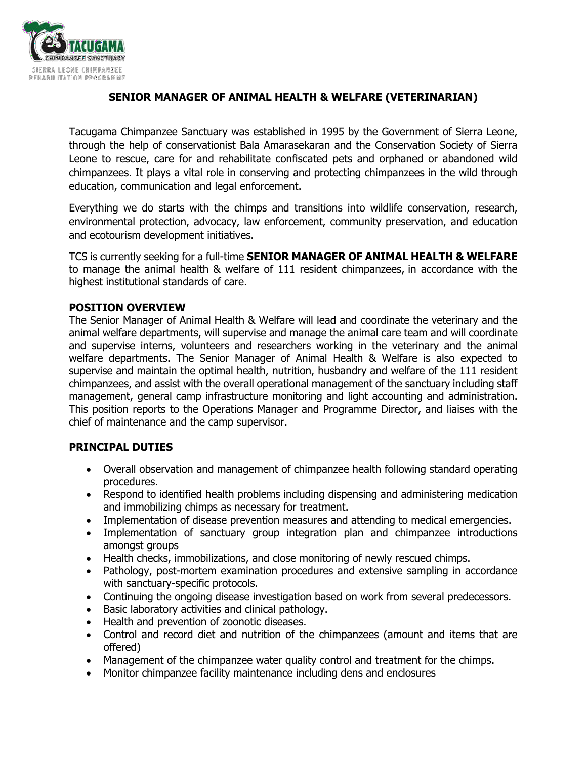

# **SENIOR MANAGER OF ANIMAL HEALTH & WELFARE (VETERINARIAN)**

Tacugama Chimpanzee Sanctuary was established in 1995 by the Government of Sierra Leone, through the help of conservationist Bala Amarasekaran and the Conservation Society of Sierra Leone to rescue, care for and rehabilitate confiscated pets and orphaned or abandoned wild chimpanzees. It plays a vital role in conserving and protecting chimpanzees in the wild through education, communication and legal enforcement.

Everything we do starts with the chimps and transitions into wildlife conservation, research, environmental protection, advocacy, law enforcement, community preservation, and education and ecotourism development initiatives.

TCS is currently seeking for a full-time **SENIOR MANAGER OF ANIMAL HEALTH & WELFARE** to manage the animal health & welfare of 111 resident chimpanzees, in accordance with the highest institutional standards of care.

### **POSITION OVERVIEW**

The Senior Manager of Animal Health & Welfare will lead and coordinate the veterinary and the animal welfare departments, will supervise and manage the animal care team and will coordinate and supervise interns, volunteers and researchers working in the veterinary and the animal welfare departments. The Senior Manager of Animal Health & Welfare is also expected to supervise and maintain the optimal health, nutrition, husbandry and welfare of the 111 resident chimpanzees, and assist with the overall operational management of the sanctuary including staff management, general camp infrastructure monitoring and light accounting and administration. This position reports to the Operations Manager and Programme Director, and liaises with the chief of maintenance and the camp supervisor.

### **PRINCIPAL DUTIES**

- Overall observation and management of chimpanzee health following standard operating procedures.
- Respond to identified health problems including dispensing and administering medication and immobilizing chimps as necessary for treatment.
- Implementation of disease prevention measures and attending to medical emergencies.
- Implementation of sanctuary group integration plan and chimpanzee introductions amongst groups
- Health checks, immobilizations, and close monitoring of newly rescued chimps.
- Pathology, post-mortem examination procedures and extensive sampling in accordance with sanctuary-specific protocols.
- Continuing the ongoing disease investigation based on work from several predecessors.
- Basic laboratory activities and clinical pathology.
- Health and prevention of zoonotic diseases.
- Control and record diet and nutrition of the chimpanzees (amount and items that are offered)
- Management of the chimpanzee water quality control and treatment for the chimps.
- Monitor chimpanzee facility maintenance including dens and enclosures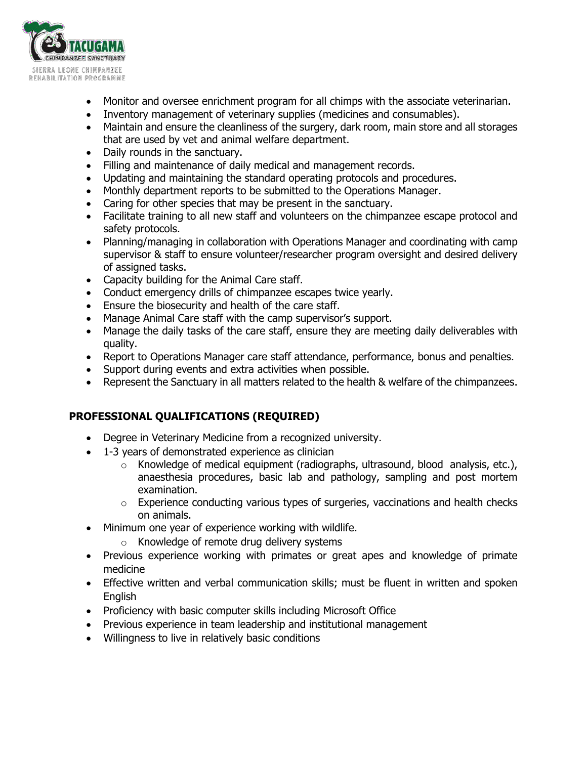

- Monitor and oversee enrichment program for all chimps with the associate veterinarian.
- Inventory management of veterinary supplies (medicines and consumables).
- Maintain and ensure the cleanliness of the surgery, dark room, main store and all storages that are used by vet and animal welfare department.
- Daily rounds in the sanctuary.
- Filling and maintenance of daily medical and management records.
- Updating and maintaining the standard operating protocols and procedures.
- Monthly department reports to be submitted to the Operations Manager.
- Caring for other species that may be present in the sanctuary.
- Facilitate training to all new staff and volunteers on the chimpanzee escape protocol and safety protocols.
- Planning/managing in collaboration with Operations Manager and coordinating with camp supervisor & staff to ensure volunteer/researcher program oversight and desired delivery of assigned tasks.
- Capacity building for the Animal Care staff.
- Conduct emergency drills of chimpanzee escapes twice yearly.
- Ensure the biosecurity and health of the care staff.
- Manage Animal Care staff with the camp supervisor's support.
- Manage the daily tasks of the care staff, ensure they are meeting daily deliverables with quality.
- Report to Operations Manager care staff attendance, performance, bonus and penalties.
- Support during events and extra activities when possible.
- Represent the Sanctuary in all matters related to the health & welfare of the chimpanzees.

# **PROFESSIONAL QUALIFICATIONS (REQUIRED)**

- Degree in Veterinary Medicine from a recognized university.
- 1-3 years of demonstrated experience as clinician
	- o Knowledge of medical equipment (radiographs, ultrasound, blood analysis, etc.), anaesthesia procedures, basic lab and pathology, sampling and post mortem examination.
	- $\circ$  Experience conducting various types of surgeries, vaccinations and health checks on animals.
- Minimum one year of experience working with wildlife.
	- o Knowledge of remote drug delivery systems
- Previous experience working with primates or great apes and knowledge of primate medicine
- Effective written and verbal communication skills; must be fluent in written and spoken English
- Proficiency with basic computer skills including Microsoft Office
- Previous experience in team leadership and institutional management
- Willingness to live in relatively basic conditions